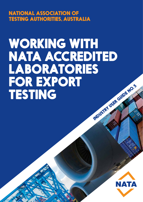NATIONAL ASSOCIATION OF TESTING AUTHORITIES, AUSTRALIA

# WORKING WITH NATA ACCREDITED LABORATORIES FOR EXPORT<br>TESTING TRUDUSTRY USER GUIDE NO.5

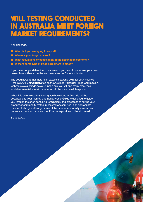# WILL TESTING CONDUCTED IN AUSTRALIA MEET FOREIGN MARKET REQUIREMENTS?

It all depends.

- **n** What is it you are trying to export?
- **n** Where is your target market?
- $\blacksquare$  What regulations or codes apply in the destination economy?
- Is there some type of trade agreement in place?

If you have not yet determined the answers, you need to undertake your own research as NATA's expertise and resources don't stretch this far.

The good news is that there is an excellent starting point for your inquiries – the **ABOUT EXPORTING** tab on the Austrade (Australian Trade Commission) website www.austrade.gov.au. On this site, you will find many resources available to assist you with your efforts to be a successful exporter.

When it is determined that testing you have done in Australia will be acceptable to your market, this Industry User Guide is designed to guide you through the often confusing terminology and processes of having your product or commodity tested, measured or examined in an appropriate manner. It also goes through some of the broader conformity assessment issues such as standards and certification to provide additional context.

So to start...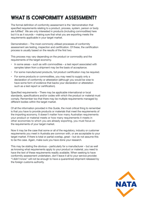# WHAT IS CONFORMITY ASSESSMENT?

The formal definition of conformity assessment is the 'demonstration that specified requirements relating to a product, process, system, person or body are fulfilled'. We are only interested in products (including commodities) here but it is as it sounds – making sure that what you are exporting meets the requirements applicable in your target market.

Demonstration – The most commonly utilised processes of conformity assessment are testing, inspection and certification. Of these, the certification process is usually based on the results of the first two.

This process may vary depending on the product or commodity and the requirements of the target economy.

- In some areas such as with commodities a test report associated with samples taken from a shipment may be the basis of acceptance.
- For some manufactured products, full product certification may be required.
- For some products or commodities, you may need to supply only a declaration of conformity or attestation (although you would be wise to have some form of evidence that backs your declaration or attestation such as a test report or certification).

Specified requirements – There may be applicable international or local standards, specifications and/or codes with which the product or material must comply. Remember too that there may be multiple requirements managed by different bodies within the target market.

Of all the information provided in this Guide, the most critical thing to remember is that you have to provide products or materials that meet the requirements of the importing economy. It doesn't matter how many Australian requirements your product or material meets or how many requirements it meets in other economies to which you are already exporting, you must focus on the requirements of your target market.

Now it may be the case that some or all of the regulatory, industry or customer requirements you meet in Australia are common with, or are acceptable to your target market. If there is total or partial overlap, great – but do not assume this to be the case. Again, make sure you have done your research.

This may be stating the obvious – particularly for a manufacturer – but as well as knowing what requirements apply to your product or material, you need to have the text of these requirements readily available. When seeking to have conformity assessment undertaken, don't leave it all to your service provider. "I didn't know" will not be enough to have a quarantined shipment released by the foreign customs authority.

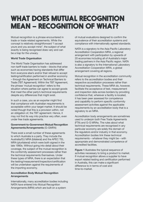# WHAT DOES MUTUAL RECOGNITION MEAN – RECOGNITION OF WHAT?

Mutual recognition is a phrase encountered in trade or trade related agreements. While the concept is relatively straightforward "I accept yours and you accept mine", the subject of what exactly is being recognised does vary and can be a trap for the unwary.

#### **World Trade Organisation**

The World Trade Organisation has addressed non-tariff trade barriers to trade – blocks that arise such as economies having standards that differ from everyone else's and/or their refusal to accept testing/certification performed in another economy – through the Agreement on Technical Barriers to Trade (TBT Agreement). Within the TBT Agreement, the phrase 'mutual recognition' refers to the situation where parties can agree to accept goods that meet the other party's technical requirements despite any differences that might exist.

In such a case, you as an exporter might find that compliance with Australian requirements is acceptable within your target market. It should be noted though that this is a provision within, not an obligation of, the TBT agreement. Hence, it may not find its way into practice very often, even under free trade agreements.

#### **Government-to-Government Mutual Recognition Agreements/Arrangements** (G-GMRA)

There exist a small number of these agreements to which Australia is a party. They include the Australia/EU MRA (bilateral) and the APEC TEL MRA (plurilateral) which were both signed in the late 1990s. Without going into detail about their coverage, the subject of the mutual recognition is the conformity assessment processes rather than the technical requirements themselves. Under these types of MRA, there is an expectation that the testing/measurement/inspection/certification will be undertaken against the requirements of the importing economy.

#### **Accreditation Body Mutual Recognition Arrangements**

Internationally, many accreditation bodies including NATA have entered into Mutual Recognition Arrangements (MRA) which are built on a system

of mutual evaluations designed to confirm the equivalence of their accreditation systems and compliance with internationally agreed standards.

NATA is a signatory to the Asia Pacific Laboratory Accreditation Cooperation MRA, a regional arrangement with participation by upwards of 20 economies including all of Australia's major trading partners in the Asia Pacific region. NATA is also a signatory to the International Laboratory Accreditation Cooperation MRA, a global arrangement covering all regions.

Mutual recognition in the accreditation community refers to the accreditation bodies and their respective accreditation processes rather than technical requirements. These MRA do, however, facilitate the acceptance of test, measurement and inspection data across borders by providing confidence that, wherever a facility is located, it has been peer assessed for competence and capability to perform specific conformity assessment activities against the applicable requirements by an accreditation body that is a signatory to an MRA.

Accreditation body arrangements are sometimes used to underpin both Free Trade Agreements (FTA) and G-G MRAs. The rules about what technical requirements are recognised in any particular economy are solely the domain of the regulators and/or industry in that economy. Accreditation bodies link these technical requirements – whatever they might be – with appropriate and demonstrated competence of accredited facilities.

**Figure 1** illustrates the typical sequence of activities necessary to bring a product to market. If mutual recognition allows a supplier to have export related testing and certification performed in Australia, this can make a significant difference to in terms of cost and time-to-market.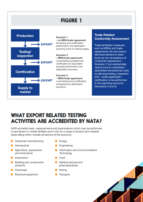# FIGURE 1



#### **Trade Related Conformity Assessment**

Trade facilitation measures such as MRAs and trade agreements not only reduce technical barriers to trade (such as non-acceptance of conformity assessment – Scenario 1) but substantially reduce time-to-marketand associated transactional costs by allowing testing, inspection and – where applicable – certification to be performed in the exporting economy (Scenarios 2 and 3).

# WHAT EXPORT RELATED TESTING ACTIVITIES ARE ACCREDITED BY NATA?

NATA accredits tests, measurements and examinations which may be performed in permanent or mobile facilities and in situ for a range of product and material types falling within virtually all sectors of the economy.

- **n** Advanced manufacturing **n** Energy
- **n** Aeronautical n Engineering
- and horticulture
- n Automotive **n Food**
- Building and construction **n Medical devices and** products **products** pharmaceuticals
- n Chemicals **n Mining** Mining
- Electrical equipment **n** Transport
- 
- 
- **n** Agriculture, aquaculture **n Information and Communications**<br> **n** Information and Communications<br> **n** Technology
	-
	-
	-
	-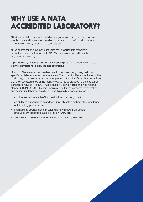# WHY USE A NATA ACCREDITED LABORATORY?

NATA accreditation is about confidence – yours and that of your customers – in the data and information on which you must make informed decisions. In this case, the key decision is "can I export?"

NATA accreditation covers the activities that produce this technical/ scientific data and information. In NATA's vocabulary, accreditation has a very specific meaning.

A procedure by which an **authoritative body** gives formal recognition that a body is **competent** to carry out **specific tasks**.

Hence, NATA accreditation is a high level process of recognising collective, specific and demonstrated competencies. The core of NATA accreditation is the third party, objective, peer assessment process at a scientific and technical level that provides assurance of the facility's capability to produce reliable data from particular analyses. The NATA Accreditation Criteria include the international standard ISO/IEC 17025 General requirements for the competence of testing and calibration laboratories which is used globally for accreditation.

In addition to confidence, NATA accreditation provides you with:

- an ability to outsource to an independent, objective authority the monitoring of laboratory performance;
- international arrangements providing for the recognition of data produced by laboratories accredited by NATA; and
- a resource to resolve disputes relating to laboratory services.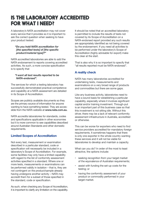## IS THE LABORATORY ACCREDITED FOR WHAT I NEED?

A laboratory's NATA accreditation may not cover every service that it provides so it is important to ask the correct question when seeking to have your product tested:

#### *"Do you hold NATA accreditation for [the specified tests] of [the specific product/material type]?"*

NATA accredited laboratories are able to add the NATA endorsement to reports covering accredited activities. As such, a more concise specification is to specify that

#### *"I want all test results reported to be NATA-endorsed".*

The services for which a testing laboratory has successfully demonstrated practical competence and capability at a NATA assessment are detailed in its Scope of Accreditation.

Scopes are publicly available documents so they are the primary source of information for anyone wanting to have something tested. They are accessible from the NATA website at **www.nata.com.au.**

NATA accredits laboratories for standards, codes and specifications applicable in other economies but it is more common to see capabilities described around Australian Standards and other domestic requirements.

#### **Limited Scopes of Accreditation**

Not every test, measurement or examination described in a particular standard, code or specification will necessarily be included in a laboratory's Scope of Accreditation. For example, some facilities may only have a limited capability with regard to the list of conformity assessment activities specified in a standard. Where one or more tests, measurements or examinations can be performed validly in isolation – that is, they are not contingent on the product/sample already having undergone another activity – NATA may accredit them for a subset of those specified in the standard, code or specification.

As such, when checking any Scope of Accreditation, it is important to clarify any limitation on the capability.

It should be noted that an accredited laboratory is permitted to include the results of tests not covered by its Scope of Accreditation on a NATA-endorsed report provided any such results are appropriately identified as not being covered by the endorsement. If you need all activities to be performed under the laboratory's Scope of Accreditation (highly advisable for export) make this clear at the start.

That is also why it is so important to specify that "all results reported must be NATA-endorsed".

#### **A reality check**

NATA has many laboratories accredited for undertaking tests, measurements and examinations on a very broad range of products and commodities but there are some gaps.

Like any business activity, laboratories need to have a sound basis for establishing a particular capability, especially where it involves significant capital and/or training investment. Through-put is an important part of this business case so that this investment is not sitting idle. Without this driver, there may be a lack of relevant conformity assessment infrastructure in Australia, accredited or otherwise.

This can be worse for exporters who need to find service providers accredited for mandatory foreign requirements. It sometimes happens that there is only one exporter in the whole country wanting these services and it will not be viable for laboratories to develop and maintain a capacity.

What can you do? In order of the most to least attractive, the options include:

- seeking recognition from your target market of the equivalence of Australian requirements;
- assist with funding the set-up costs for the testing; or
- having the conformity assessment of your product or commodity performed in your target market.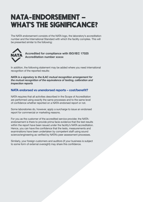# NATA-ENDORSEMENT – WHAT'S THE SIGNIFICANCE?

The NATA endorsement consists of the NATA logo, the laboratory's accreditation number and the International Standard with which the facility complies. This will be presented similar to the following:



#### **Accredited for compliance with ISO/IEC 17025 Accreditation number xxxxx**

In addition, the following statement may be added where you need international recognition of the reported results:

*NATA is a signatory to the ILAC mutual recognition arrangement for the mutual recognition of the equivalence of testing, calibration and inspection reports*

#### **NATA endorsed vs unendorsed reports – cost/benefit?**

NATA requires that all activities described in the Scope of Accreditation are performed using exactly the same processes and to the same level of confidence whether reported on a NATA-endorsed report or not.

Some laboratories do, however, apply a surcharge to issue an endorsed report for commercial or marketing reasons.

For you as the customer of the accredited service provider, the NATAendorsement is there to provide prima facie evidence that the test results within the report have been issued under the facility's NATA accreditation. Hence, you can have the confidence that the tests, measurements and examinations have been undertaken by competent staff using sound science/engineering as verified by NATA's peer assessment processes.

Similarly, your foreign customers and auditors (if your business is subject to some form of external oversight) may share this confidence.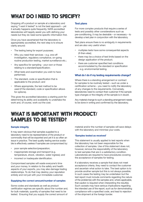# WHAT DO I NEED TO SPECIFY?

Dropping off a product or sample at a laboratory and saying "I want it tested" is not the best approach – yet it actually happens quite frequently. NATA accredited laboratories will happily assist you with defining your needs but they do need some specific information first.

Once you have ascertained that the laboratory is appropriately accredited, the next step is to ensure clarity around:

- The testing being for export purposes;
- Why you need their services e.g. one-off investigation, regulatory compliance, on-going routine production testing, market surveillance etc.;
- Any specifics for sampling your own or those relating to a standard/specification;
- What tests and examination you wish to have performed;
- The standard, code or specification that is applicable to the product; and
- Where appropriate, the test method to be used (if the standard, code or specification allows for options).

This gives the accredited laboratory a starting point for determining its ability and availability to undertake the work and, of course, work out the cost.

#### **Test plans**

For more complex products that require a series of tests and possibly other considerations such as pre-conditioning, it may be desirable – or necessary – to develop a test plan in conjunction with the laboratory.

Test plans ensure there is no ambiguity in requirements and are also very useful when:

- multiples tests have some consequential aspects (if-then-else);
- there may be a choice of test limits based on the design application of the product;
- there are customer specified test conditions accommodated by the standard or specification – e.g. environmental testing.

#### **What do I do if my testing requirements change?**

Where there is a standing arrangement or contract for samples to be routinely tested – such as under a certification scheme – you need to notify the laboratory of any changes to the requirements. Conversely, laboratories need to contact their customer if the sample type changes or the integrity of the sample is in doubt.

Any material change to such a standing arrangement needs to be done in writing and confirmed by the laboratory.

### WHAT IS IMPORTANT WITH PRODUCT/ SAMPLES TO BE TESTED?

#### **Sample integrity**

It may seem obvious that samples supplied to a laboratory need to be representative of the product or commodity that will be exported and yet it is so often an issue in practice. The best quality testing service available is effectively useless if samples are compromised by:

- poor sample selection/preparation;
- inappropriate storage and transport (e.g. temperature, shock, vibration, water ingress); and
- incorrect or inadequate identification.

Compromised samples will waste everyone's time and your money. In relation to the safety and health aspects of your exports, you may also damage trading relationships. To do that may destroy your reputation entirely and not just with your immediate customer.

#### **Supplying the correct amount/number of samples**

Some codes and standards as well as product certification regimes are specific about the number and, for bulk materials, quantity of samples that need to be tested. Ensuring that you supply the correct amount of

material and/or the number of samples will save delays with the laboratory and minimise your costs.

#### **'Samples tested as received'**

This statement is usually applied to test reports when the laboratory has not been responsible for the collection of samples. Use of this statement does not, however, remove the responsibility of the laboratory to test samples that are in a satisfactory condition. Laboratories are required to have procedures covering the acceptance of samples for testing.

If a laboratory receives a sample that does not meet acceptance criteria, they need to contact the customer and ascertain what action to take. The best option is to provide another sample but this is not always possible. In such cases the testing may be undertaken but the test report must include comments regarding the nature of the problem(s) with the samples and, where applicable, that caution is required when interpreting the result(s). Such caveats may have serious implications regarding the intended use of the report, such as for demonstrating compliance with a specified code, and lead to rejection of the shipment at the foreign border.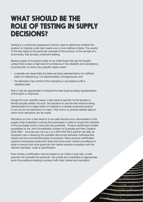# WHAT SHOULD BE THE ROLE OF TESTING IN SUPPLY DECISIONS?

Testing is a conformity assessment activity used to determine whether the product or material under test meets one or more defined criteria. The results of the test apply to the particular example of the product, or the sample of a commodity, that actually underwent testing.

Basing supply of a product solely on an initial (type) test can be fraught unless there is also a high level of confidence in the reliability and consistency of production. In some very specific cases where:

- a sample can reasonably be taken as being representative of a defined batch of material (e.g. it is demonstrably homogeneous); and
- the laboratory has control of the sampling in accordance with a validated plan,

then it may be appropriate to interpret the test result as being representative of the batch or shipment.

Except for such specific cases, a test result is specific to the sample or item(s) actually tested. As such, the decision to use the test result as being representative of a larger batch of material or a serially produced product is not one for the laboratory to make. Their role is to provide reliable data on which such decisions can be made.

Decisions on how a test result is to be used should occur downstream in the supply chain (hopefully involving the purchaser) in order to ensure the interests of the purchaser and/or consumer are protected. Product certification bodies accredited by the Joint Accreditation System of Australia and New Zealand (JAS-ANZ – www.jas-anz.com.au ) or a JAS-ANZ MLA partner can play an important role in resolving the possible disconnect between individual test results and the commercial supply of products. Many product certification systems incorporate production tests and some even market surveillance in order to ensure that what goes into the market remains compliant with the relevant standard, code or specification.

Even where a certification may be based on an initial or type test, a wise exporter will consider the products' risk profile and undertake an appropriate level of surveillance testing to protect both their market and reputation.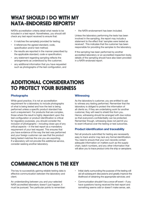# WHAT SHOULD I DO WITH MY NATA-ENDORSED REPORTS?

NATA's accreditation criteria detail what needs to be included in a test report. Nonetheless, you should still check any test report received to ensure that:

- it matches the sample(s) provided for testing;
- it references the agreed standard, code, specification and/or test method;
- the results are reported in the manner prescribed by the applicable standard, code or specification;
- any statement regarding sampling reflects the arrangements as understood by the customer;
- any additional information that you have requested such as photographs of the test configuration, and

• the NATA-endorsement has been included.

Unless the laboratory performing the tests has been involved in the sampling, the report may include a statement to the effect that 'samples were tested as received'. This indicates that the customer has been responsible for providing the samples to the laboratory.

If the sampling has been performed by another accredited laboratory or an accredited inspection body, details of the sampling should have also been provided in a NATA-endorsed report.

### ADDITIONAL CONSIDERATIONS TO PROTECT YOUR BUSINESS

#### **Photographs**

While good practice, it is not an accreditation requirement for a laboratory to include photographs of what is being tested and how the test is being performed unless a specific product standard has such a requirement. For products that are complex, those where the result is highly dependent upon the test configuration or product identification is critical for regulatory purposes, you should consider the inclusion of photographs – including close-ups of any critical aspects – in the test report as a mandatory requirement of your test request. This ensures that you have evidence of the way the test was performed and your foreign customer can see that the product being tested matches the one you are exporting. If a laboratory will not provide this additional service, consider seeking another laboratory.

#### **Witnessing**

As the laboratory's customer, you are entitled to ask to witness any testing performed. Remember that the laboratory is obliged to protect the information of all clients so, if they are undertaking work for another customer, they will need to shield this from you. Hence, witnessing should be arranged with due notice so that everyone's confidentiality can be protected. Remember though, witnessing does not permit you to exert influence over the testing or test outcomes.

#### **Product identification and traceability**

Not all products submitted for testing are necessarily easy to track and/or may lack any formal identification. You need to ensure that your own records contain adequate information on matters such as the supply chain, batch numbers, and any other information that will allow you to trace product onto the ship or aeroplane.

# COMMUNICATION IS THE KEY

The key to successfully gaining reliable testing data is effective communication between the laboratory and client.

An understanding between you and your selected NATA accredited laboratory doesn't just happen, it must be pursued. Two particular points to remember:

- Initial clarity surrounding the purpose of the testing will aid all subsequent discussions and greatly improve the likelihood of obtaining the appropriate services; and
- Communication shouldn't be a once-off event if you have questions having received the test report and something seems odd or doesn't make sense, ask.